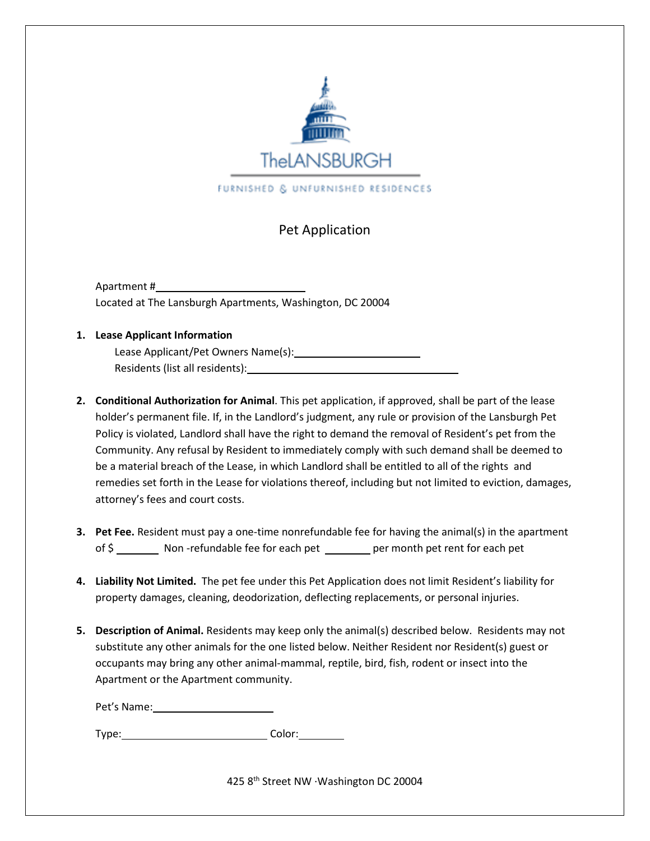

## Pet Application

Apartment # Located at The Lansburgh Apartments, Washington, DC 20004

## **1. Lease Applicant Information**

Lease Applicant/Pet Owners Name(s): Residents (list all residents):

- **2. Conditional Authorization for Animal**. This pet application, if approved, shall be part of the lease holder's permanent file. If, in the Landlord's judgment, any rule or provision of the Lansburgh Pet Policy is violated, Landlord shall have the right to demand the removal of Resident's pet from the Community. Any refusal by Resident to immediately comply with such demand shall be deemed to be a material breach of the Lease, in which Landlord shall be entitled to all of the rights and remedies set forth in the Lease for violations thereof, including but not limited to eviction, damages, attorney's fees and court costs.
- **3. Pet Fee.** Resident must pay a one-time nonrefundable fee for having the animal(s) in the apartment of \$ Non -refundable fee for each pet per month pet rent for each pet
- **4. Liability Not Limited.** The pet fee under this Pet Application does not limit Resident's liability for property damages, cleaning, deodorization, deflecting replacements, or personal injuries.
- **5. Description of Animal.** Residents may keep only the animal(s) described below. Residents may not substitute any other animals for the one listed below. Neither Resident nor Resident(s) guest or occupants may bring any other animal-mammal, reptile, bird, fish, rodent or insect into the Apartment or the Apartment community.

Pet's Name: \_

Type: Color: Color:

425 8th Street NW ∙Washington DC 20004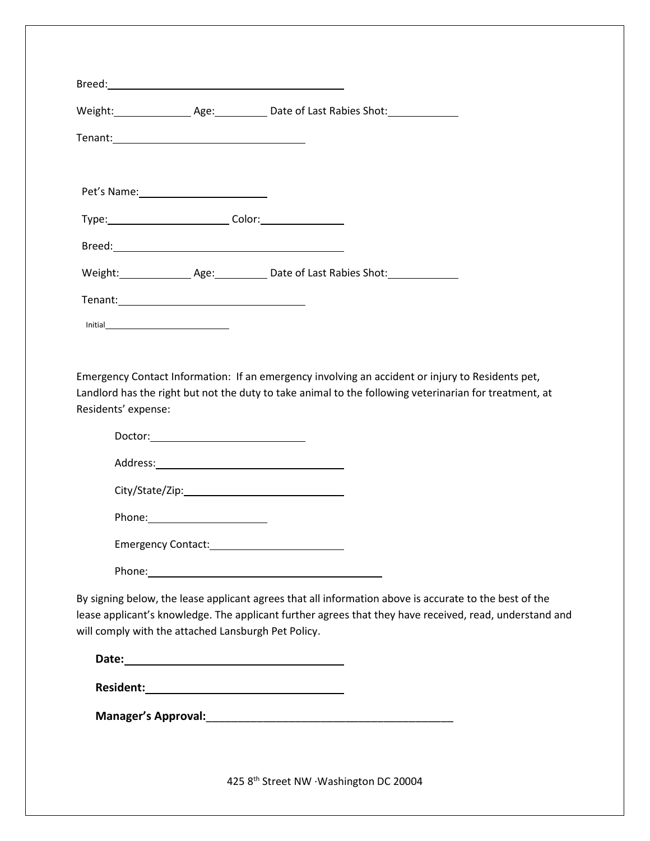|                                                     | Type: Color: Color: Color: COLORECTYPE: |                                                                                                                                                                                                                                |
|-----------------------------------------------------|-----------------------------------------|--------------------------------------------------------------------------------------------------------------------------------------------------------------------------------------------------------------------------------|
|                                                     |                                         |                                                                                                                                                                                                                                |
|                                                     |                                         |                                                                                                                                                                                                                                |
|                                                     |                                         |                                                                                                                                                                                                                                |
|                                                     |                                         |                                                                                                                                                                                                                                |
|                                                     |                                         |                                                                                                                                                                                                                                |
|                                                     |                                         | Emergency Contact Information: If an emergency involving an accident or injury to Residents pet,                                                                                                                               |
| Residents' expense:                                 |                                         | Landlord has the right but not the duty to take animal to the following veterinarian for treatment, at                                                                                                                         |
|                                                     |                                         |                                                                                                                                                                                                                                |
|                                                     |                                         |                                                                                                                                                                                                                                |
|                                                     |                                         |                                                                                                                                                                                                                                |
|                                                     |                                         |                                                                                                                                                                                                                                |
|                                                     |                                         |                                                                                                                                                                                                                                |
|                                                     |                                         |                                                                                                                                                                                                                                |
|                                                     |                                         | Phone: Note: 2008 and 2008 and 2008 and 2008 and 2008 and 2008 and 2008 and 2008 and 2008 and 2008 and 2008 and 2008 and 2008 and 2008 and 2008 and 2008 and 2008 and 2008 and 2008 and 2008 and 2008 and 2008 and 2008 and 20 |
|                                                     |                                         | By signing below, the lease applicant agrees that all information above is accurate to the best of the                                                                                                                         |
|                                                     |                                         | lease applicant's knowledge. The applicant further agrees that they have received, read, understand and                                                                                                                        |
| will comply with the attached Lansburgh Pet Policy. |                                         |                                                                                                                                                                                                                                |

**Date:**

**Manager's Approval:**\_\_\_\_\_\_\_\_\_\_\_\_\_\_\_\_\_\_\_\_\_\_\_\_\_\_\_\_\_\_\_\_\_\_\_\_\_\_\_

425 8th Street NW ∙Washington DC 20004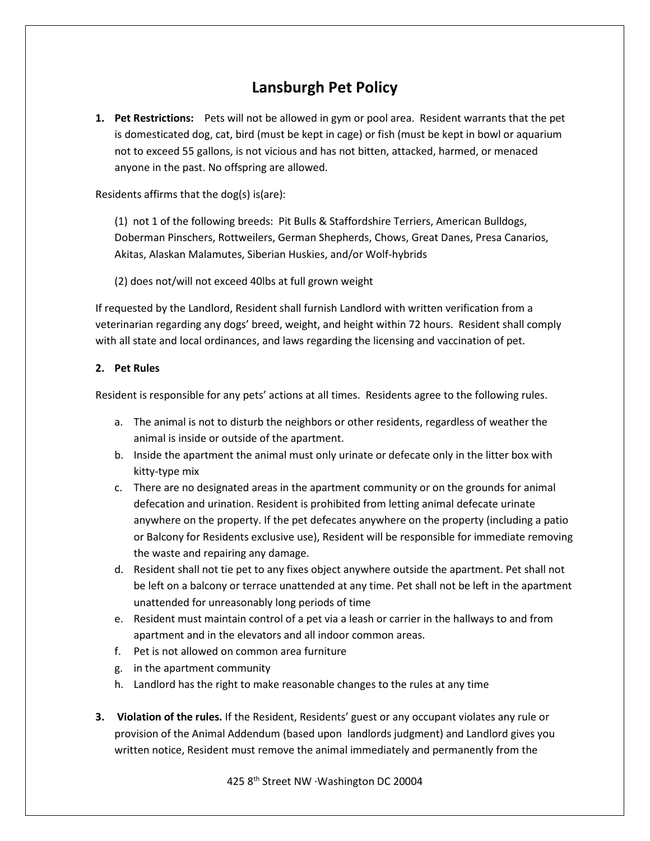## **Lansburgh Pet Policy**

**1. Pet Restrictions:** Pets will not be allowed in gym or pool area. Resident warrants that the pet is domesticated dog, cat, bird (must be kept in cage) or fish (must be kept in bowl or aquarium not to exceed 55 gallons, is not vicious and has not bitten, attacked, harmed, or menaced anyone in the past. No offspring are allowed.

Residents affirms that the dog(s) is(are):

(1) not 1 of the following breeds: Pit Bulls & Staffordshire Terriers, American Bulldogs, Doberman Pinschers, Rottweilers, German Shepherds, Chows, Great Danes, Presa Canarios, Akitas, Alaskan Malamutes, Siberian Huskies, and/or Wolf-hybrids

(2) does not/will not exceed 40lbs at full grown weight

If requested by the Landlord, Resident shall furnish Landlord with written verification from a veterinarian regarding any dogs' breed, weight, and height within 72 hours. Resident shall comply with all state and local ordinances, and laws regarding the licensing and vaccination of pet.

## **2. Pet Rules**

Resident is responsible for any pets' actions at all times. Residents agree to the following rules.

- a. The animal is not to disturb the neighbors or other residents, regardless of weather the animal is inside or outside of the apartment.
- b. Inside the apartment the animal must only urinate or defecate only in the litter box with kitty-type mix
- c. There are no designated areas in the apartment community or on the grounds for animal defecation and urination. Resident is prohibited from letting animal defecate urinate anywhere on the property. If the pet defecates anywhere on the property (including a patio or Balcony for Residents exclusive use), Resident will be responsible for immediate removing the waste and repairing any damage.
- d. Resident shall not tie pet to any fixes object anywhere outside the apartment. Pet shall not be left on a balcony or terrace unattended at any time. Pet shall not be left in the apartment unattended for unreasonably long periods of time
- e. Resident must maintain control of a pet via a leash or carrier in the hallways to and from apartment and in the elevators and all indoor common areas.
- f. Pet is not allowed on common area furniture
- g. in the apartment community
- h. Landlord has the right to make reasonable changes to the rules at any time
- **3. Violation of the rules.** If the Resident, Residents' guest or any occupant violates any rule or provision of the Animal Addendum (based upon landlords judgment) and Landlord gives you written notice, Resident must remove the animal immediately and permanently from the

425 8th Street NW ∙Washington DC 20004